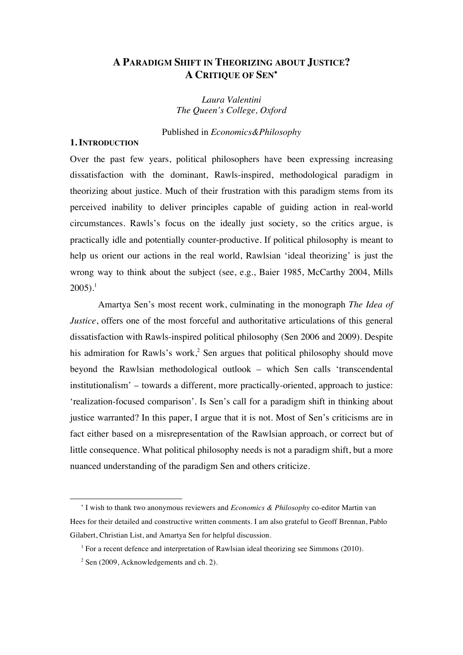## **A PARADIGM SHIFT IN THEORIZING ABOUT JUSTICE? A CRITIQUE OF SEN**<sup>∗</sup>

*Laura Valentini The Queen's College, Oxford*

Published in *Economics&Philosophy* 

## **1. INTRODUCTION**

Over the past few years, political philosophers have been expressing increasing dissatisfaction with the dominant, Rawls-inspired, methodological paradigm in theorizing about justice. Much of their frustration with this paradigm stems from its perceived inability to deliver principles capable of guiding action in real-world circumstances. Rawls's focus on the ideally just society, so the critics argue, is practically idle and potentially counter-productive. If political philosophy is meant to help us orient our actions in the real world, Rawlsian 'ideal theorizing' is just the wrong way to think about the subject (see, e.g., Baier 1985, McCarthy 2004, Mills  $2005$ ).<sup>1</sup>

Amartya Sen's most recent work, culminating in the monograph *The Idea of Justice*, offers one of the most forceful and authoritative articulations of this general dissatisfaction with Rawls-inspired political philosophy (Sen 2006 and 2009). Despite his admiration for Rawls's work,<sup>2</sup> Sen argues that political philosophy should move beyond the Rawlsian methodological outlook – which Sen calls 'transcendental institutionalism' – towards a different, more practically-oriented, approach to justice: 'realization-focused comparison'. Is Sen's call for a paradigm shift in thinking about justice warranted? In this paper, I argue that it is not. Most of Sen's criticisms are in fact either based on a misrepresentation of the Rawlsian approach, or correct but of little consequence. What political philosophy needs is not a paradigm shift, but a more nuanced understanding of the paradigm Sen and others criticize.

 $\overline{a}$ 

<sup>∗</sup> I wish to thank two anonymous reviewers and *Economics & Philosophy* co-editor Martin van Hees for their detailed and constructive written comments. I am also grateful to Geoff Brennan, Pablo Gilabert, Christian List, and Amartya Sen for helpful discussion.

<sup>&</sup>lt;sup>1</sup> For a recent defence and interpretation of Rawlsian ideal theorizing see Simmons (2010).

<sup>&</sup>lt;sup>2</sup> Sen (2009, Acknowledgements and ch. 2).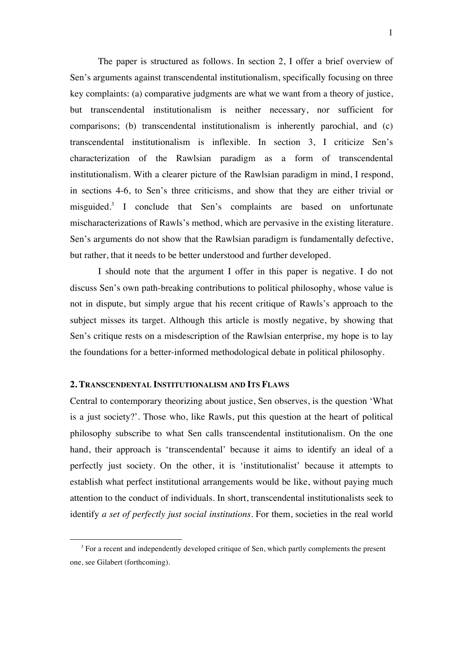The paper is structured as follows. In section 2, I offer a brief overview of Sen's arguments against transcendental institutionalism, specifically focusing on three key complaints: (a) comparative judgments are what we want from a theory of justice, but transcendental institutionalism is neither necessary, nor sufficient for comparisons; (b) transcendental institutionalism is inherently parochial, and (c) transcendental institutionalism is inflexible. In section 3, I criticize Sen's characterization of the Rawlsian paradigm as a form of transcendental institutionalism. With a clearer picture of the Rawlsian paradigm in mind, I respond, in sections 4-6, to Sen's three criticisms, and show that they are either trivial or misguided.<sup>3</sup> I conclude that Sen's complaints are based on unfortunate mischaracterizations of Rawls's method, which are pervasive in the existing literature. Sen's arguments do not show that the Rawlsian paradigm is fundamentally defective, but rather, that it needs to be better understood and further developed.

I should note that the argument I offer in this paper is negative. I do not discuss Sen's own path-breaking contributions to political philosophy, whose value is not in dispute, but simply argue that his recent critique of Rawls's approach to the subject misses its target. Although this article is mostly negative, by showing that Sen's critique rests on a misdescription of the Rawlsian enterprise, my hope is to lay the foundations for a better-informed methodological debate in political philosophy.

## **2. TRANSCENDENTAL INSTITUTIONALISM AND ITS FLAWS**

Central to contemporary theorizing about justice, Sen observes, is the question 'What is a just society?'. Those who, like Rawls, put this question at the heart of political philosophy subscribe to what Sen calls transcendental institutionalism. On the one hand, their approach is 'transcendental' because it aims to identify an ideal of a perfectly just society. On the other, it is 'institutionalist' because it attempts to establish what perfect institutional arrangements would be like, without paying much attention to the conduct of individuals. In short, transcendental institutionalists seek to identify *a set of perfectly just social institutions*. For them, societies in the real world

<sup>&</sup>lt;sup>3</sup> For a recent and independently developed critique of Sen, which partly complements the present one, see Gilabert (forthcoming).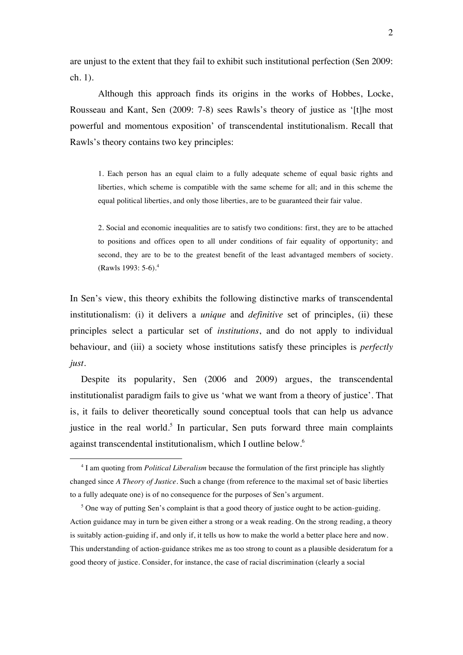are unjust to the extent that they fail to exhibit such institutional perfection (Sen 2009: ch. 1).

Although this approach finds its origins in the works of Hobbes, Locke, Rousseau and Kant, Sen (2009: 7-8) sees Rawls's theory of justice as '[t]he most powerful and momentous exposition' of transcendental institutionalism. Recall that Rawls's theory contains two key principles:

1. Each person has an equal claim to a fully adequate scheme of equal basic rights and liberties, which scheme is compatible with the same scheme for all; and in this scheme the equal political liberties, and only those liberties, are to be guaranteed their fair value.

2. Social and economic inequalities are to satisfy two conditions: first, they are to be attached to positions and offices open to all under conditions of fair equality of opportunity; and second, they are to be to the greatest benefit of the least advantaged members of society. (Rawls 1993: 5-6).<sup>4</sup>

In Sen's view, this theory exhibits the following distinctive marks of transcendental institutionalism: (i) it delivers a *unique* and *definitive* set of principles, (ii) these principles select a particular set of *institutions*, and do not apply to individual behaviour, and (iii) a society whose institutions satisfy these principles is *perfectly just*.

Despite its popularity, Sen (2006 and 2009) argues, the transcendental institutionalist paradigm fails to give us 'what we want from a theory of justice'. That is, it fails to deliver theoretically sound conceptual tools that can help us advance justice in the real world.<sup>5</sup> In particular, Sen puts forward three main complaints against transcendental institutionalism, which I outline below.6

 <sup>4</sup> I am quoting from *Political Liberalism* because the formulation of the first principle has slightly changed since *A Theory of Justice*. Such a change (from reference to the maximal set of basic liberties to a fully adequate one) is of no consequence for the purposes of Sen's argument.

<sup>&</sup>lt;sup>5</sup> One way of putting Sen's complaint is that a good theory of justice ought to be action-guiding. Action guidance may in turn be given either a strong or a weak reading. On the strong reading, a theory is suitably action-guiding if, and only if, it tells us how to make the world a better place here and now. This understanding of action-guidance strikes me as too strong to count as a plausible desideratum for a good theory of justice. Consider, for instance, the case of racial discrimination (clearly a social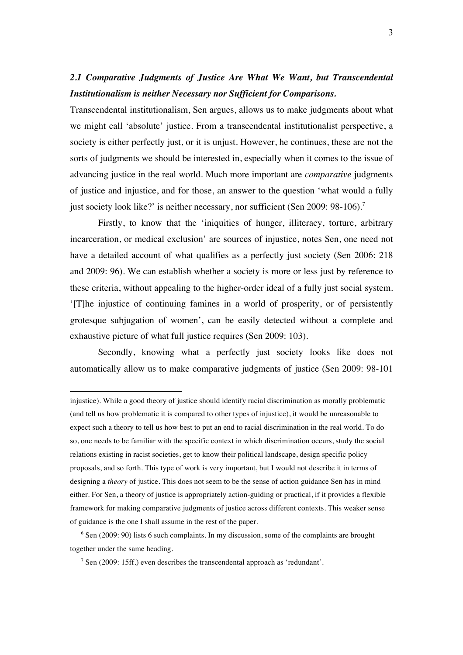## *2.1 Comparative Judgments of Justice Are What We Want, but Transcendental Institutionalism is neither Necessary nor Sufficient for Comparisons.*

Transcendental institutionalism, Sen argues, allows us to make judgments about what we might call 'absolute' justice. From a transcendental institutionalist perspective, a society is either perfectly just, or it is unjust. However, he continues, these are not the sorts of judgments we should be interested in, especially when it comes to the issue of advancing justice in the real world. Much more important are *comparative* judgments of justice and injustice, and for those, an answer to the question 'what would a fully just society look like?' is neither necessary, nor sufficient (Sen 2009: 98-106).<sup>7</sup>

Firstly, to know that the 'iniquities of hunger, illiteracy, torture, arbitrary incarceration, or medical exclusion' are sources of injustice, notes Sen, one need not have a detailed account of what qualifies as a perfectly just society (Sen 2006: 218 and 2009: 96). We can establish whether a society is more or less just by reference to these criteria, without appealing to the higher-order ideal of a fully just social system. '[T]he injustice of continuing famines in a world of prosperity, or of persistently grotesque subjugation of women', can be easily detected without a complete and exhaustive picture of what full justice requires (Sen 2009: 103).

Secondly, knowing what a perfectly just society looks like does not automatically allow us to make comparative judgments of justice (Sen 2009: 98-101

 $\overline{a}$ 

injustice). While a good theory of justice should identify racial discrimination as morally problematic (and tell us how problematic it is compared to other types of injustice), it would be unreasonable to expect such a theory to tell us how best to put an end to racial discrimination in the real world. To do so, one needs to be familiar with the specific context in which discrimination occurs, study the social relations existing in racist societies, get to know their political landscape, design specific policy proposals, and so forth. This type of work is very important, but I would not describe it in terms of designing a *theory* of justice. This does not seem to be the sense of action guidance Sen has in mind either. For Sen, a theory of justice is appropriately action-guiding or practical, if it provides a flexible framework for making comparative judgments of justice across different contexts. This weaker sense of guidance is the one I shall assume in the rest of the paper.

<sup>&</sup>lt;sup>6</sup> Sen (2009: 90) lists 6 such complaints. In my discussion, some of the complaints are brought together under the same heading.

<sup>&</sup>lt;sup>7</sup> Sen (2009: 15ff.) even describes the transcendental approach as 'redundant'.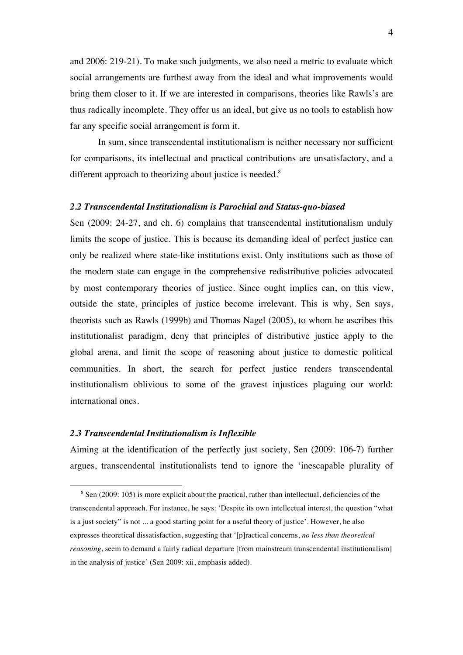and 2006: 219-21). To make such judgments, we also need a metric to evaluate which social arrangements are furthest away from the ideal and what improvements would bring them closer to it. If we are interested in comparisons, theories like Rawls's are thus radically incomplete. They offer us an ideal, but give us no tools to establish how far any specific social arrangement is form it.

In sum, since transcendental institutionalism is neither necessary nor sufficient for comparisons, its intellectual and practical contributions are unsatisfactory, and a different approach to theorizing about justice is needed.<sup>8</sup>

### *2.2 Transcendental Institutionalism is Parochial and Status-quo-biased*

Sen (2009: 24-27, and ch. 6) complains that transcendental institutionalism unduly limits the scope of justice. This is because its demanding ideal of perfect justice can only be realized where state-like institutions exist. Only institutions such as those of the modern state can engage in the comprehensive redistributive policies advocated by most contemporary theories of justice. Since ought implies can, on this view, outside the state, principles of justice become irrelevant. This is why, Sen says, theorists such as Rawls (1999b) and Thomas Nagel (2005), to whom he ascribes this institutionalist paradigm, deny that principles of distributive justice apply to the global arena, and limit the scope of reasoning about justice to domestic political communities. In short, the search for perfect justice renders transcendental institutionalism oblivious to some of the gravest injustices plaguing our world: international ones.

### *2.3 Transcendental Institutionalism is Inflexible*

Aiming at the identification of the perfectly just society, Sen (2009: 106-7) further argues, transcendental institutionalists tend to ignore the 'inescapable plurality of

 $\frac{1}{8}$ <sup>8</sup> Sen (2009: 105) is more explicit about the practical, rather than intellectual, deficiencies of the transcendental approach. For instance, he says: 'Despite its own intellectual interest, the question "what is a just society" is not ... a good starting point for a useful theory of justice'. However, he also expresses theoretical dissatisfaction, suggesting that '[p]ractical concerns, *no less than theoretical reasoning*, seem to demand a fairly radical departure [from mainstream transcendental institutionalism] in the analysis of justice' (Sen 2009: xii, emphasis added).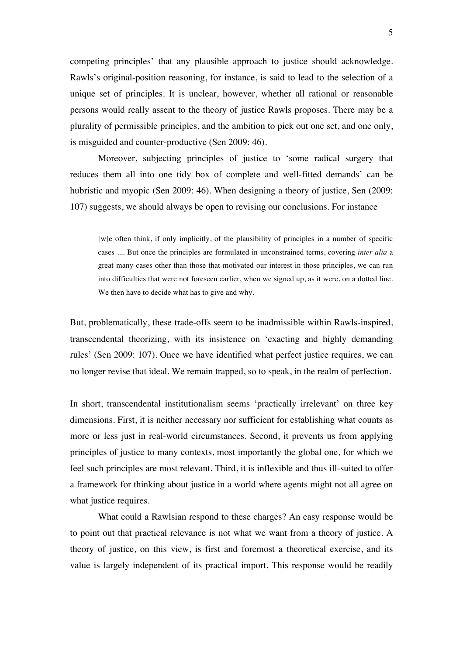competing principles' that any plausible approach to justice should acknowledge. Rawls's original-position reasoning, for instance, is said to lead to the selection of a unique set of principles. It is unclear, however, whether all rational or reasonable persons would really assent to the theory of justice Rawls proposes. There may be a plurality of permissible principles, and the ambition to pick out one set, and one only, is misguided and counter-productive (Sen 2009: 46).

Moreover, subjecting principles of justice to 'some radical surgery that reduces them all into one tidy box of complete and well-fitted demands' can be hubristic and myopic (Sen 2009: 46). When designing a theory of justice, Sen (2009: 107) suggests, we should always be open to revising our conclusions. For instance

[w]e often think, if only implicitly, of the plausibility of principles in a number of specific cases .... But once the principles are formulated in unconstrained terms, covering *inter alia* a great many cases other than those that motivated our interest in those principles, we can run into difficulties that were not foreseen earlier, when we signed up, as it were, on a dotted line. We then have to decide what has to give and why.

But, problematically, these trade-offs seem to be inadmissible within Rawls-inspired, transcendental theorizing, with its insistence on 'exacting and highly demanding rules' (Sen 2009: 107). Once we have identified what perfect justice requires, we can no longer revise that ideal. We remain trapped, so to speak, in the realm of perfection.

In short, transcendental institutionalism seems 'practically irrelevant' on three key dimensions. First, it is neither necessary nor sufficient for establishing what counts as more or less just in real-world circumstances. Second, it prevents us from applying principles of justice to many contexts, most importantly the global one, for which we feel such principles are most relevant. Third, it is inflexible and thus ill-suited to offer a framework for thinking about justice in a world where agents might not all agree on what justice requires.

What could a Rawlsian respond to these charges? An easy response would be to point out that practical relevance is not what we want from a theory of justice. A theory of justice, on this view, is first and foremost a theoretical exercise, and its value is largely independent of its practical import. This response would be readily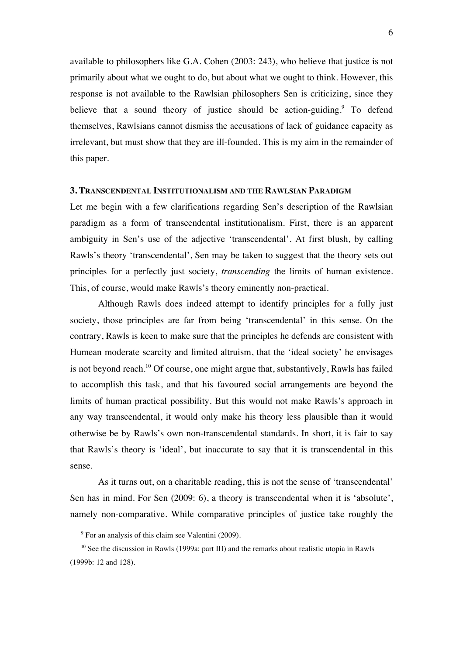available to philosophers like G.A. Cohen (2003: 243), who believe that justice is not primarily about what we ought to do, but about what we ought to think. However, this response is not available to the Rawlsian philosophers Sen is criticizing, since they believe that a sound theory of justice should be action-guiding.<sup>9</sup> To defend themselves, Rawlsians cannot dismiss the accusations of lack of guidance capacity as irrelevant, but must show that they are ill-founded. This is my aim in the remainder of this paper.

### **3. TRANSCENDENTAL INSTITUTIONALISM AND THE RAWLSIAN PARADIGM**

Let me begin with a few clarifications regarding Sen's description of the Rawlsian paradigm as a form of transcendental institutionalism. First, there is an apparent ambiguity in Sen's use of the adjective 'transcendental'. At first blush, by calling Rawls's theory 'transcendental', Sen may be taken to suggest that the theory sets out principles for a perfectly just society, *transcending* the limits of human existence. This, of course, would make Rawls's theory eminently non-practical.

Although Rawls does indeed attempt to identify principles for a fully just society, those principles are far from being 'transcendental' in this sense. On the contrary, Rawls is keen to make sure that the principles he defends are consistent with Humean moderate scarcity and limited altruism, that the 'ideal society' he envisages is not beyond reach.<sup>10</sup> Of course, one might argue that, substantively, Rawls has failed to accomplish this task, and that his favoured social arrangements are beyond the limits of human practical possibility. But this would not make Rawls's approach in any way transcendental, it would only make his theory less plausible than it would otherwise be by Rawls's own non-transcendental standards. In short, it is fair to say that Rawls's theory is 'ideal', but inaccurate to say that it is transcendental in this sense.

As it turns out, on a charitable reading, this is not the sense of 'transcendental' Sen has in mind. For Sen (2009: 6), a theory is transcendental when it is 'absolute', namely non-comparative. While comparative principles of justice take roughly the

 <sup>9</sup> For an analysis of this claim see Valentini (2009).

<sup>&</sup>lt;sup>10</sup> See the discussion in Rawls (1999a: part III) and the remarks about realistic utopia in Rawls (1999b: 12 and 128).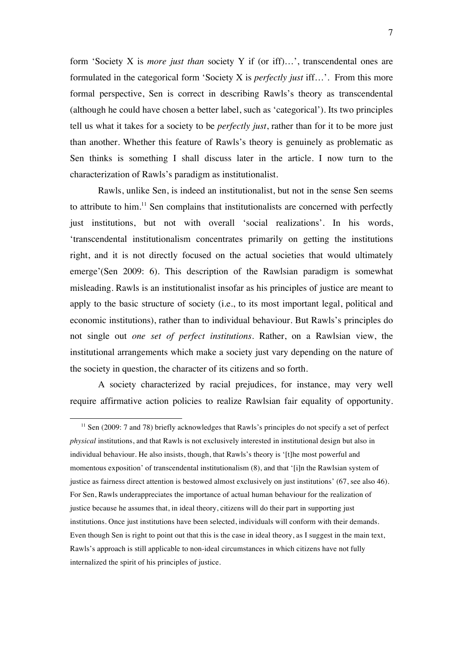form 'Society X is *more just than* society Y if (or iff)…', transcendental ones are formulated in the categorical form 'Society X is *perfectly just* iff…'. From this more formal perspective, Sen is correct in describing Rawls's theory as transcendental (although he could have chosen a better label, such as 'categorical'). Its two principles tell us what it takes for a society to be *perfectly just*, rather than for it to be more just than another. Whether this feature of Rawls's theory is genuinely as problematic as Sen thinks is something I shall discuss later in the article. I now turn to the characterization of Rawls's paradigm as institutionalist.

Rawls, unlike Sen, is indeed an institutionalist, but not in the sense Sen seems to attribute to him. $<sup>11</sup>$  Sen complains that institutionalists are concerned with perfectly</sup> just institutions, but not with overall 'social realizations'. In his words, 'transcendental institutionalism concentrates primarily on getting the institutions right, and it is not directly focused on the actual societies that would ultimately emerge'(Sen 2009: 6). This description of the Rawlsian paradigm is somewhat misleading. Rawls is an institutionalist insofar as his principles of justice are meant to apply to the basic structure of society (i.e., to its most important legal, political and economic institutions), rather than to individual behaviour. But Rawls's principles do not single out *one set of perfect institutions*. Rather, on a Rawlsian view, the institutional arrangements which make a society just vary depending on the nature of the society in question, the character of its citizens and so forth.

A society characterized by racial prejudices, for instance, may very well require affirmative action policies to realize Rawlsian fair equality of opportunity.

 $11$  Sen (2009: 7 and 78) briefly acknowledges that Rawls's principles do not specify a set of perfect *physical* institutions, and that Rawls is not exclusively interested in institutional design but also in individual behaviour. He also insists, though, that Rawls's theory is '[t]he most powerful and momentous exposition' of transcendental institutionalism (8), and that '[i]n the Rawlsian system of justice as fairness direct attention is bestowed almost exclusively on just institutions' (67, see also 46). For Sen, Rawls underappreciates the importance of actual human behaviour for the realization of justice because he assumes that, in ideal theory, citizens will do their part in supporting just institutions. Once just institutions have been selected, individuals will conform with their demands. Even though Sen is right to point out that this is the case in ideal theory, as I suggest in the main text, Rawls's approach is still applicable to non-ideal circumstances in which citizens have not fully internalized the spirit of his principles of justice.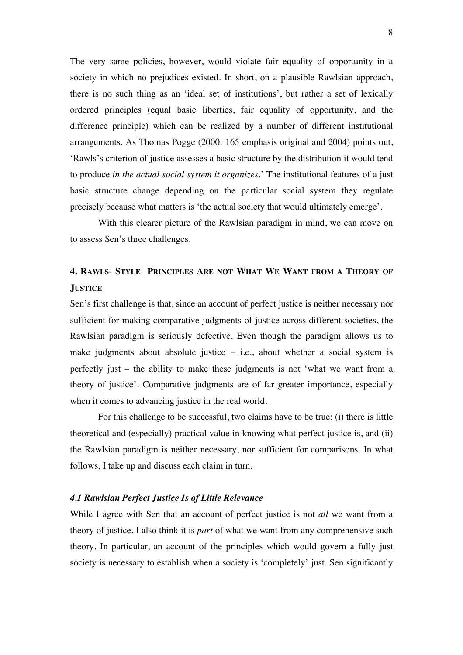The very same policies, however, would violate fair equality of opportunity in a society in which no prejudices existed. In short, on a plausible Rawlsian approach, there is no such thing as an 'ideal set of institutions', but rather a set of lexically ordered principles (equal basic liberties, fair equality of opportunity, and the difference principle) which can be realized by a number of different institutional arrangements. As Thomas Pogge (2000: 165 emphasis original and 2004) points out, 'Rawls's criterion of justice assesses a basic structure by the distribution it would tend to produce *in the actual social system it organizes*.' The institutional features of a just basic structure change depending on the particular social system they regulate precisely because what matters is 'the actual society that would ultimately emerge'.

With this clearer picture of the Rawlsian paradigm in mind, we can move on to assess Sen's three challenges.

# **4. RAWLS- STYLE PRINCIPLES ARE NOT WHAT WE WANT FROM A THEORY OF JUSTICE**

Sen's first challenge is that, since an account of perfect justice is neither necessary nor sufficient for making comparative judgments of justice across different societies, the Rawlsian paradigm is seriously defective. Even though the paradigm allows us to make judgments about absolute justice  $-$  i.e., about whether a social system is perfectly just – the ability to make these judgments is not 'what we want from a theory of justice'. Comparative judgments are of far greater importance, especially when it comes to advancing justice in the real world.

For this challenge to be successful, two claims have to be true: (i) there is little theoretical and (especially) practical value in knowing what perfect justice is, and (ii) the Rawlsian paradigm is neither necessary, nor sufficient for comparisons. In what follows, I take up and discuss each claim in turn.

### *4.1 Rawlsian Perfect Justice Is of Little Relevance*

While I agree with Sen that an account of perfect justice is not *all* we want from a theory of justice, I also think it is *part* of what we want from any comprehensive such theory. In particular, an account of the principles which would govern a fully just society is necessary to establish when a society is 'completely' just. Sen significantly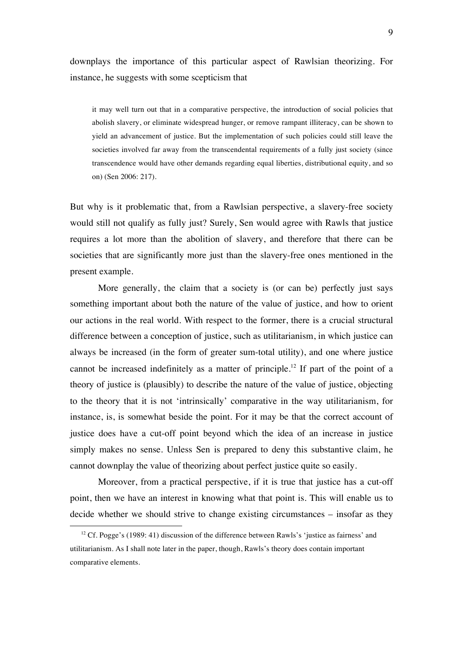downplays the importance of this particular aspect of Rawlsian theorizing. For instance, he suggests with some scepticism that

it may well turn out that in a comparative perspective, the introduction of social policies that abolish slavery, or eliminate widespread hunger, or remove rampant illiteracy, can be shown to yield an advancement of justice. But the implementation of such policies could still leave the societies involved far away from the transcendental requirements of a fully just society (since transcendence would have other demands regarding equal liberties, distributional equity, and so on) (Sen 2006: 217).

But why is it problematic that, from a Rawlsian perspective, a slavery-free society would still not qualify as fully just? Surely, Sen would agree with Rawls that justice requires a lot more than the abolition of slavery, and therefore that there can be societies that are significantly more just than the slavery-free ones mentioned in the present example.

More generally, the claim that a society is (or can be) perfectly just says something important about both the nature of the value of justice, and how to orient our actions in the real world. With respect to the former, there is a crucial structural difference between a conception of justice, such as utilitarianism, in which justice can always be increased (in the form of greater sum-total utility), and one where justice cannot be increased indefinitely as a matter of principle.<sup>12</sup> If part of the point of a theory of justice is (plausibly) to describe the nature of the value of justice, objecting to the theory that it is not 'intrinsically' comparative in the way utilitarianism, for instance, is, is somewhat beside the point. For it may be that the correct account of justice does have a cut-off point beyond which the idea of an increase in justice simply makes no sense. Unless Sen is prepared to deny this substantive claim, he cannot downplay the value of theorizing about perfect justice quite so easily.

Moreover, from a practical perspective, if it is true that justice has a cut-off point, then we have an interest in knowing what that point is. This will enable us to decide whether we should strive to change existing circumstances – insofar as they

<sup>&</sup>lt;sup>12</sup> Cf. Pogge's (1989: 41) discussion of the difference between Rawls's 'justice as fairness' and utilitarianism. As I shall note later in the paper, though, Rawls's theory does contain important comparative elements.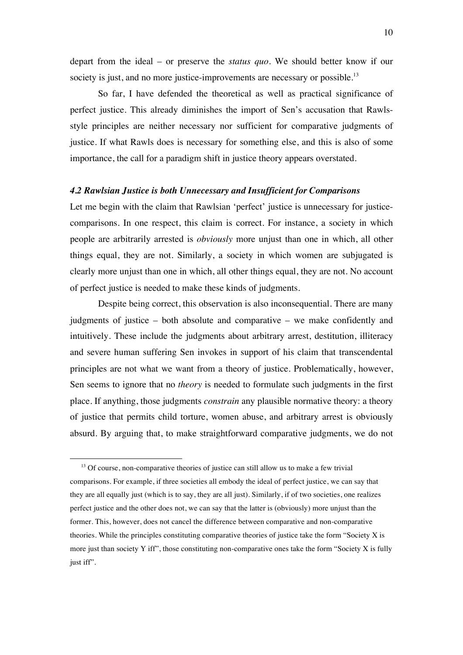depart from the ideal – or preserve the *status quo*. We should better know if our society is just, and no more justice-improvements are necessary or possible.<sup>13</sup>

So far, I have defended the theoretical as well as practical significance of perfect justice. This already diminishes the import of Sen's accusation that Rawlsstyle principles are neither necessary nor sufficient for comparative judgments of justice. If what Rawls does is necessary for something else, and this is also of some importance, the call for a paradigm shift in justice theory appears overstated.

### *4.2 Rawlsian Justice is both Unnecessary and Insufficient for Comparisons*

Let me begin with the claim that Rawlsian 'perfect' justice is unnecessary for justicecomparisons. In one respect, this claim is correct. For instance, a society in which people are arbitrarily arrested is *obviously* more unjust than one in which, all other things equal, they are not. Similarly, a society in which women are subjugated is clearly more unjust than one in which, all other things equal, they are not. No account of perfect justice is needed to make these kinds of judgments.

Despite being correct, this observation is also inconsequential. There are many judgments of justice – both absolute and comparative – we make confidently and intuitively. These include the judgments about arbitrary arrest, destitution, illiteracy and severe human suffering Sen invokes in support of his claim that transcendental principles are not what we want from a theory of justice. Problematically, however, Sen seems to ignore that no *theory* is needed to formulate such judgments in the first place. If anything, those judgments *constrain* any plausible normative theory: a theory of justice that permits child torture, women abuse, and arbitrary arrest is obviously absurd. By arguing that, to make straightforward comparative judgments, we do not

<sup>&</sup>lt;sup>13</sup> Of course, non-comparative theories of justice can still allow us to make a few trivial comparisons. For example, if three societies all embody the ideal of perfect justice, we can say that they are all equally just (which is to say, they are all just). Similarly, if of two societies, one realizes perfect justice and the other does not, we can say that the latter is (obviously) more unjust than the former. This, however, does not cancel the difference between comparative and non-comparative theories. While the principles constituting comparative theories of justice take the form "Society X is more just than society Y iff", those constituting non-comparative ones take the form "Society X is fully just iff".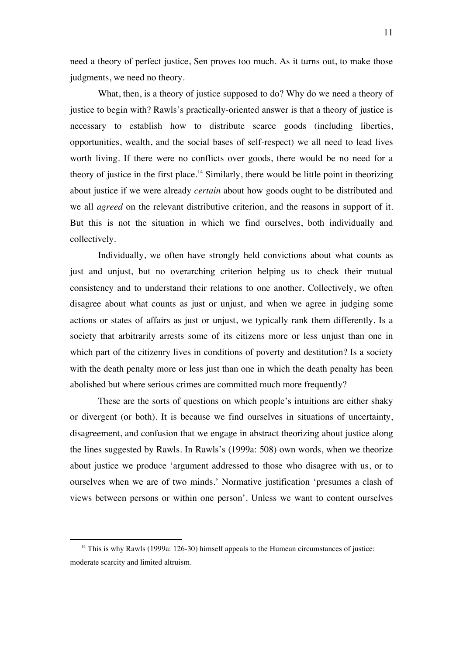need a theory of perfect justice, Sen proves too much. As it turns out, to make those judgments, we need no theory.

What, then, is a theory of justice supposed to do? Why do we need a theory of justice to begin with? Rawls's practically-oriented answer is that a theory of justice is necessary to establish how to distribute scarce goods (including liberties, opportunities, wealth, and the social bases of self-respect) we all need to lead lives worth living. If there were no conflicts over goods, there would be no need for a theory of justice in the first place.<sup>14</sup> Similarly, there would be little point in theorizing about justice if we were already *certain* about how goods ought to be distributed and we all *agreed* on the relevant distributive criterion, and the reasons in support of it. But this is not the situation in which we find ourselves, both individually and collectively.

Individually, we often have strongly held convictions about what counts as just and unjust, but no overarching criterion helping us to check their mutual consistency and to understand their relations to one another. Collectively, we often disagree about what counts as just or unjust, and when we agree in judging some actions or states of affairs as just or unjust, we typically rank them differently. Is a society that arbitrarily arrests some of its citizens more or less unjust than one in which part of the citizenry lives in conditions of poverty and destitution? Is a society with the death penalty more or less just than one in which the death penalty has been abolished but where serious crimes are committed much more frequently?

These are the sorts of questions on which people's intuitions are either shaky or divergent (or both). It is because we find ourselves in situations of uncertainty, disagreement, and confusion that we engage in abstract theorizing about justice along the lines suggested by Rawls. In Rawls's (1999a: 508) own words, when we theorize about justice we produce 'argument addressed to those who disagree with us, or to ourselves when we are of two minds.' Normative justification 'presumes a clash of views between persons or within one person'. Unless we want to content ourselves

<sup>&</sup>lt;sup>14</sup> This is why Rawls (1999a: 126-30) himself appeals to the Humean circumstances of justice: moderate scarcity and limited altruism.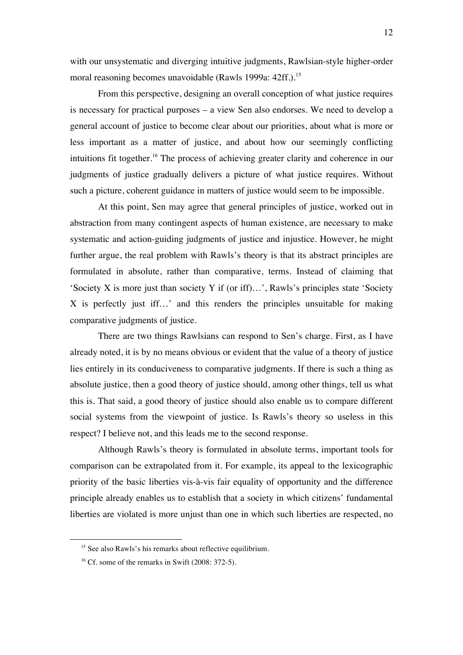with our unsystematic and diverging intuitive judgments, Rawlsian-style higher-order moral reasoning becomes unavoidable (Rawls 1999a: 42ff.).<sup>15</sup>

From this perspective, designing an overall conception of what justice requires is necessary for practical purposes – a view Sen also endorses. We need to develop a general account of justice to become clear about our priorities, about what is more or less important as a matter of justice, and about how our seemingly conflicting intuitions fit together.<sup>16</sup> The process of achieving greater clarity and coherence in our judgments of justice gradually delivers a picture of what justice requires. Without such a picture, coherent guidance in matters of justice would seem to be impossible.

At this point, Sen may agree that general principles of justice, worked out in abstraction from many contingent aspects of human existence, are necessary to make systematic and action-guiding judgments of justice and injustice. However, he might further argue, the real problem with Rawls's theory is that its abstract principles are formulated in absolute, rather than comparative, terms. Instead of claiming that 'Society X is more just than society Y if (or iff)…', Rawls's principles state 'Society X is perfectly just iff…' and this renders the principles unsuitable for making comparative judgments of justice.

There are two things Rawlsians can respond to Sen's charge. First, as I have already noted, it is by no means obvious or evident that the value of a theory of justice lies entirely in its conduciveness to comparative judgments. If there is such a thing as absolute justice, then a good theory of justice should, among other things, tell us what this is. That said, a good theory of justice should also enable us to compare different social systems from the viewpoint of justice. Is Rawls's theory so useless in this respect? I believe not, and this leads me to the second response.

Although Rawls's theory is formulated in absolute terms, important tools for comparison can be extrapolated from it. For example, its appeal to the lexicographic priority of the basic liberties vis-à-vis fair equality of opportunity and the difference principle already enables us to establish that a society in which citizens' fundamental liberties are violated is more unjust than one in which such liberties are respected, no

 $15$  See also Rawls's his remarks about reflective equilibrium.

<sup>&</sup>lt;sup>16</sup> Cf. some of the remarks in Swift  $(2008: 372-5)$ .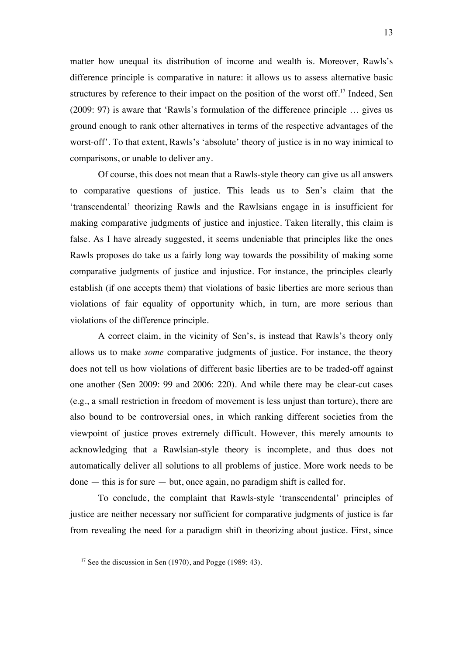matter how unequal its distribution of income and wealth is. Moreover, Rawls's difference principle is comparative in nature: it allows us to assess alternative basic structures by reference to their impact on the position of the worst off.<sup>17</sup> Indeed, Sen (2009: 97) is aware that 'Rawls's formulation of the difference principle … gives us ground enough to rank other alternatives in terms of the respective advantages of the worst-off'. To that extent, Rawls's 'absolute' theory of justice is in no way inimical to comparisons, or unable to deliver any.

Of course, this does not mean that a Rawls-style theory can give us all answers to comparative questions of justice. This leads us to Sen's claim that the 'transcendental' theorizing Rawls and the Rawlsians engage in is insufficient for making comparative judgments of justice and injustice. Taken literally, this claim is false. As I have already suggested, it seems undeniable that principles like the ones Rawls proposes do take us a fairly long way towards the possibility of making some comparative judgments of justice and injustice. For instance, the principles clearly establish (if one accepts them) that violations of basic liberties are more serious than violations of fair equality of opportunity which, in turn, are more serious than violations of the difference principle.

A correct claim, in the vicinity of Sen's, is instead that Rawls's theory only allows us to make *some* comparative judgments of justice. For instance, the theory does not tell us how violations of different basic liberties are to be traded-off against one another (Sen 2009: 99 and 2006: 220). And while there may be clear-cut cases (e.g., a small restriction in freedom of movement is less unjust than torture), there are also bound to be controversial ones, in which ranking different societies from the viewpoint of justice proves extremely difficult. However, this merely amounts to acknowledging that a Rawlsian-style theory is incomplete, and thus does not automatically deliver all solutions to all problems of justice. More work needs to be  $done$  — this is for sure  $-$  but, once again, no paradigm shift is called for.

To conclude, the complaint that Rawls-style 'transcendental' principles of justice are neither necessary nor sufficient for comparative judgments of justice is far from revealing the need for a paradigm shift in theorizing about justice. First, since

<sup>&</sup>lt;sup>17</sup> See the discussion in Sen (1970), and Pogge (1989: 43).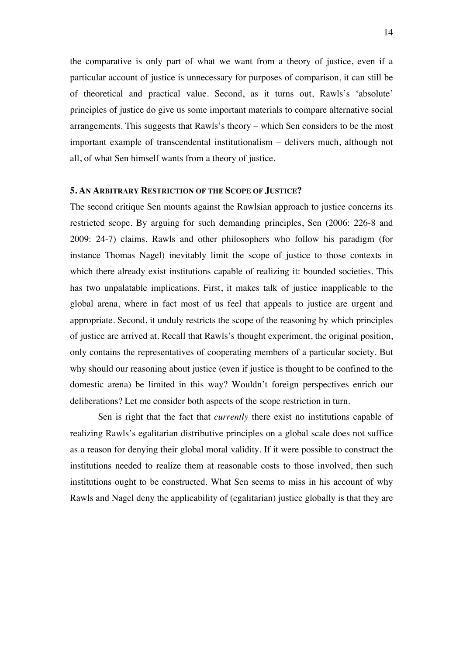the comparative is only part of what we want from a theory of justice, even if a particular account of justice is unnecessary for purposes of comparison, it can still be of theoretical and practical value. Second, as it turns out, Rawls's 'absolute' principles of justice do give us some important materials to compare alternative social arrangements. This suggests that Rawls's theory – which Sen considers to be the most important example of transcendental institutionalism – delivers much, although not all, of what Sen himself wants from a theory of justice.

### **5. AN ARBITRARY RESTRICTION OF THE SCOPE OF JUSTICE?**

The second critique Sen mounts against the Rawlsian approach to justice concerns its restricted scope. By arguing for such demanding principles, Sen (2006: 226-8 and 2009: 24-7) claims, Rawls and other philosophers who follow his paradigm (for instance Thomas Nagel) inevitably limit the scope of justice to those contexts in which there already exist institutions capable of realizing it: bounded societies. This has two unpalatable implications. First, it makes talk of justice inapplicable to the global arena, where in fact most of us feel that appeals to justice are urgent and appropriate. Second, it unduly restricts the scope of the reasoning by which principles of justice are arrived at. Recall that Rawls's thought experiment, the original position, only contains the representatives of cooperating members of a particular society. But why should our reasoning about justice (even if justice is thought to be confined to the domestic arena) be limited in this way? Wouldn't foreign perspectives enrich our deliberations? Let me consider both aspects of the scope restriction in turn.

Sen is right that the fact that *currently* there exist no institutions capable of realizing Rawls's egalitarian distributive principles on a global scale does not suffice as a reason for denying their global moral validity. If it were possible to construct the institutions needed to realize them at reasonable costs to those involved, then such institutions ought to be constructed. What Sen seems to miss in his account of why Rawls and Nagel deny the applicability of (egalitarian) justice globally is that they are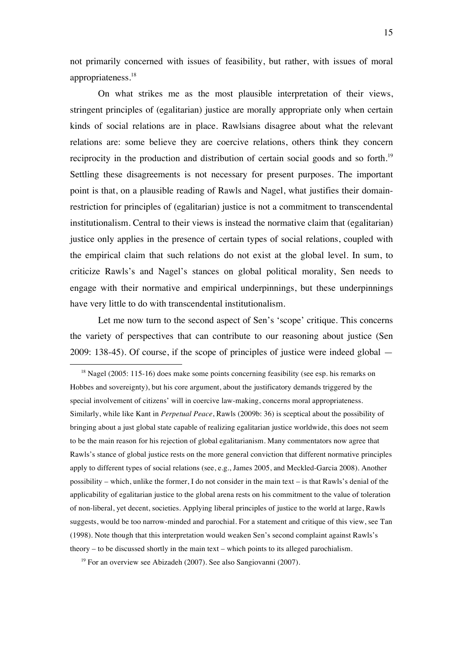not primarily concerned with issues of feasibility, but rather, with issues of moral appropriateness.18

On what strikes me as the most plausible interpretation of their views, stringent principles of (egalitarian) justice are morally appropriate only when certain kinds of social relations are in place. Rawlsians disagree about what the relevant relations are: some believe they are coercive relations, others think they concern reciprocity in the production and distribution of certain social goods and so forth.<sup>19</sup> Settling these disagreements is not necessary for present purposes. The important point is that, on a plausible reading of Rawls and Nagel, what justifies their domainrestriction for principles of (egalitarian) justice is not a commitment to transcendental institutionalism. Central to their views is instead the normative claim that (egalitarian) justice only applies in the presence of certain types of social relations, coupled with the empirical claim that such relations do not exist at the global level. In sum, to criticize Rawls's and Nagel's stances on global political morality, Sen needs to engage with their normative and empirical underpinnings, but these underpinnings have very little to do with transcendental institutionalism.

Let me now turn to the second aspect of Sen's 'scope' critique. This concerns the variety of perspectives that can contribute to our reasoning about justice (Sen 2009: 138-45). Of course, if the scope of principles of justice were indeed global —

<sup>&</sup>lt;sup>18</sup> Nagel (2005: 115-16) does make some points concerning feasibility (see esp. his remarks on Hobbes and sovereignty), but his core argument, about the justificatory demands triggered by the special involvement of citizens' will in coercive law-making, concerns moral appropriateness. Similarly, while like Kant in *Perpetual Peace*, Rawls (2009b: 36) is sceptical about the possibility of bringing about a just global state capable of realizing egalitarian justice worldwide, this does not seem to be the main reason for his rejection of global egalitarianism. Many commentators now agree that Rawls's stance of global justice rests on the more general conviction that different normative principles apply to different types of social relations (see, e.g., James 2005, and Meckled-Garcia 2008). Another possibility – which, unlike the former, I do not consider in the main text – is that Rawls's denial of the applicability of egalitarian justice to the global arena rests on his commitment to the value of toleration of non-liberal, yet decent, societies. Applying liberal principles of justice to the world at large, Rawls suggests, would be too narrow-minded and parochial. For a statement and critique of this view, see Tan (1998). Note though that this interpretation would weaken Sen's second complaint against Rawls's theory – to be discussed shortly in the main text – which points to its alleged parochialism.

 $19$  For an overview see Abizadeh (2007). See also Sangiovanni (2007).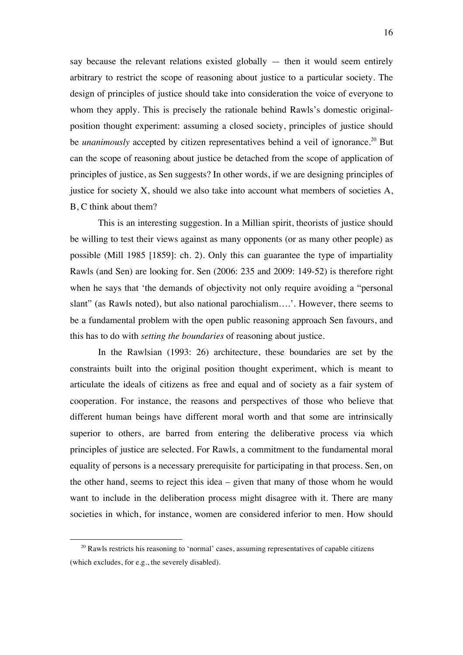say because the relevant relations existed globally  $-$  then it would seem entirely arbitrary to restrict the scope of reasoning about justice to a particular society. The design of principles of justice should take into consideration the voice of everyone to whom they apply. This is precisely the rationale behind Rawls's domestic originalposition thought experiment: assuming a closed society, principles of justice should be *unanimously* accepted by citizen representatives behind a veil of ignorance.<sup>20</sup> But can the scope of reasoning about justice be detached from the scope of application of principles of justice, as Sen suggests? In other words, if we are designing principles of justice for society X, should we also take into account what members of societies A, B, C think about them?

This is an interesting suggestion. In a Millian spirit, theorists of justice should be willing to test their views against as many opponents (or as many other people) as possible (Mill 1985 [1859]: ch. 2). Only this can guarantee the type of impartiality Rawls (and Sen) are looking for. Sen (2006: 235 and 2009: 149-52) is therefore right when he says that 'the demands of objectivity not only require avoiding a "personal slant" (as Rawls noted), but also national parochialism….'. However, there seems to be a fundamental problem with the open public reasoning approach Sen favours, and this has to do with *setting the boundaries* of reasoning about justice.

In the Rawlsian (1993: 26) architecture, these boundaries are set by the constraints built into the original position thought experiment, which is meant to articulate the ideals of citizens as free and equal and of society as a fair system of cooperation. For instance, the reasons and perspectives of those who believe that different human beings have different moral worth and that some are intrinsically superior to others, are barred from entering the deliberative process via which principles of justice are selected. For Rawls, a commitment to the fundamental moral equality of persons is a necessary prerequisite for participating in that process. Sen, on the other hand, seems to reject this idea – given that many of those whom he would want to include in the deliberation process might disagree with it. There are many societies in which, for instance, women are considered inferior to men. How should

<sup>&</sup>lt;sup>20</sup> Rawls restricts his reasoning to 'normal' cases, assuming representatives of capable citizens (which excludes, for e.g., the severely disabled).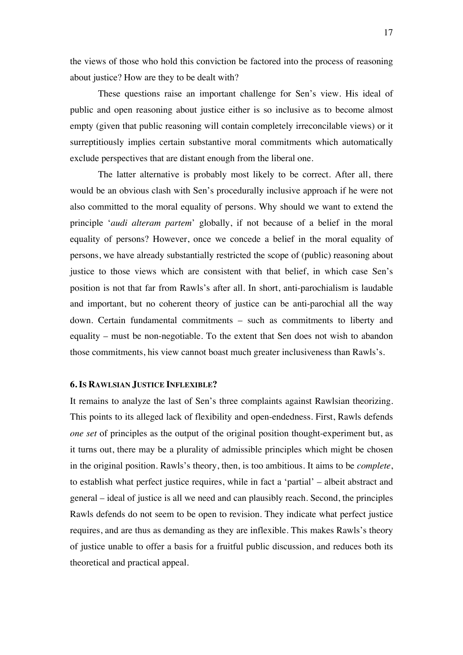the views of those who hold this conviction be factored into the process of reasoning about justice? How are they to be dealt with?

These questions raise an important challenge for Sen's view. His ideal of public and open reasoning about justice either is so inclusive as to become almost empty (given that public reasoning will contain completely irreconcilable views) or it surreptitiously implies certain substantive moral commitments which automatically exclude perspectives that are distant enough from the liberal one.

The latter alternative is probably most likely to be correct. After all, there would be an obvious clash with Sen's procedurally inclusive approach if he were not also committed to the moral equality of persons. Why should we want to extend the principle '*audi alteram partem*' globally, if not because of a belief in the moral equality of persons? However, once we concede a belief in the moral equality of persons, we have already substantially restricted the scope of (public) reasoning about justice to those views which are consistent with that belief, in which case Sen's position is not that far from Rawls's after all. In short, anti-parochialism is laudable and important, but no coherent theory of justice can be anti-parochial all the way down. Certain fundamental commitments – such as commitments to liberty and equality – must be non-negotiable. To the extent that Sen does not wish to abandon those commitments, his view cannot boast much greater inclusiveness than Rawls's.

### **6. IS RAWLSIAN JUSTICE INFLEXIBLE?**

It remains to analyze the last of Sen's three complaints against Rawlsian theorizing. This points to its alleged lack of flexibility and open-endedness. First, Rawls defends *one set* of principles as the output of the original position thought-experiment but, as it turns out, there may be a plurality of admissible principles which might be chosen in the original position. Rawls's theory, then, is too ambitious. It aims to be *complete*, to establish what perfect justice requires, while in fact a 'partial' – albeit abstract and general – ideal of justice is all we need and can plausibly reach. Second, the principles Rawls defends do not seem to be open to revision. They indicate what perfect justice requires, and are thus as demanding as they are inflexible. This makes Rawls's theory of justice unable to offer a basis for a fruitful public discussion, and reduces both its theoretical and practical appeal.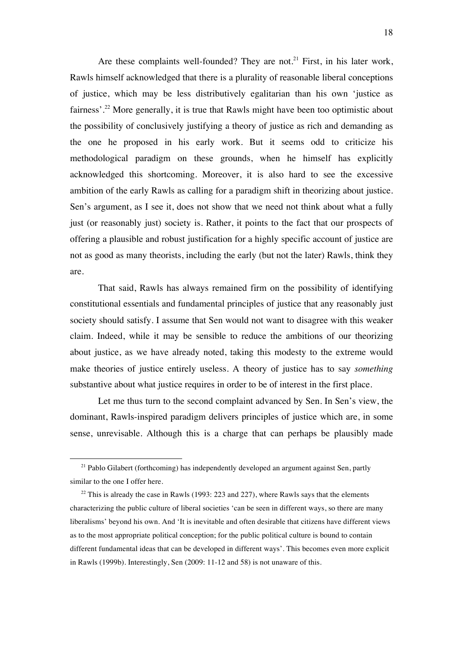Are these complaints well-founded? They are not.<sup>21</sup> First, in his later work, Rawls himself acknowledged that there is a plurality of reasonable liberal conceptions of justice, which may be less distributively egalitarian than his own 'justice as fairness'.<sup>22</sup> More generally, it is true that Rawls might have been too optimistic about the possibility of conclusively justifying a theory of justice as rich and demanding as the one he proposed in his early work. But it seems odd to criticize his methodological paradigm on these grounds, when he himself has explicitly acknowledged this shortcoming. Moreover, it is also hard to see the excessive ambition of the early Rawls as calling for a paradigm shift in theorizing about justice. Sen's argument, as I see it, does not show that we need not think about what a fully just (or reasonably just) society is. Rather, it points to the fact that our prospects of offering a plausible and robust justification for a highly specific account of justice are not as good as many theorists, including the early (but not the later) Rawls, think they are.

That said, Rawls has always remained firm on the possibility of identifying constitutional essentials and fundamental principles of justice that any reasonably just society should satisfy. I assume that Sen would not want to disagree with this weaker claim. Indeed, while it may be sensible to reduce the ambitions of our theorizing about justice, as we have already noted, taking this modesty to the extreme would make theories of justice entirely useless. A theory of justice has to say *something* substantive about what justice requires in order to be of interest in the first place.

Let me thus turn to the second complaint advanced by Sen. In Sen's view, the dominant, Rawls-inspired paradigm delivers principles of justice which are, in some sense, unrevisable. Although this is a charge that can perhaps be plausibly made

<sup>&</sup>lt;sup>21</sup> Pablo Gilabert (forthcoming) has independently developed an argument against Sen, partly similar to the one I offer here.

 $22$  This is already the case in Rawls (1993: 223 and 227), where Rawls says that the elements characterizing the public culture of liberal societies 'can be seen in different ways, so there are many liberalisms' beyond his own. And 'It is inevitable and often desirable that citizens have different views as to the most appropriate political conception; for the public political culture is bound to contain different fundamental ideas that can be developed in different ways'. This becomes even more explicit in Rawls (1999b). Interestingly, Sen (2009: 11-12 and 58) is not unaware of this.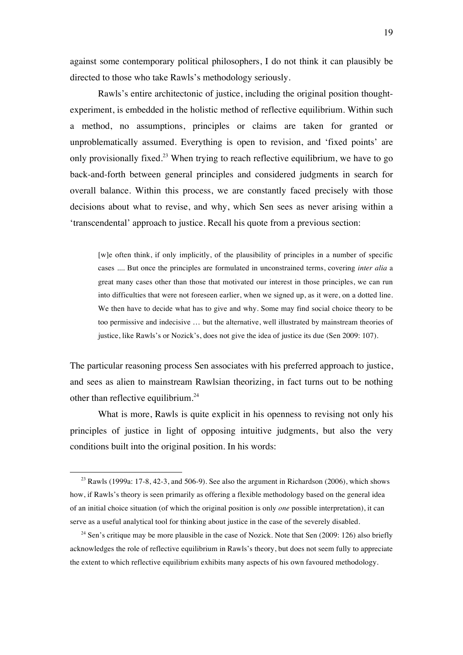against some contemporary political philosophers, I do not think it can plausibly be directed to those who take Rawls's methodology seriously.

Rawls's entire architectonic of justice, including the original position thoughtexperiment, is embedded in the holistic method of reflective equilibrium. Within such a method, no assumptions, principles or claims are taken for granted or unproblematically assumed. Everything is open to revision, and 'fixed points' are only provisionally fixed.<sup>23</sup> When trying to reach reflective equilibrium, we have to go back-and-forth between general principles and considered judgments in search for overall balance. Within this process, we are constantly faced precisely with those decisions about what to revise, and why, which Sen sees as never arising within a 'transcendental' approach to justice. Recall his quote from a previous section:

[w]e often think, if only implicitly, of the plausibility of principles in a number of specific cases .... But once the principles are formulated in unconstrained terms, covering *inter alia* a great many cases other than those that motivated our interest in those principles, we can run into difficulties that were not foreseen earlier, when we signed up, as it were, on a dotted line. We then have to decide what has to give and why. Some may find social choice theory to be too permissive and indecisive … but the alternative, well illustrated by mainstream theories of justice, like Rawls's or Nozick's, does not give the idea of justice its due (Sen 2009: 107).

The particular reasoning process Sen associates with his preferred approach to justice, and sees as alien to mainstream Rawlsian theorizing, in fact turns out to be nothing other than reflective equilibrium.<sup>24</sup>

What is more, Rawls is quite explicit in his openness to revising not only his principles of justice in light of opposing intuitive judgments, but also the very conditions built into the original position. In his words:

 $23$  Rawls (1999a: 17-8, 42-3, and 506-9). See also the argument in Richardson (2006), which shows how, if Rawls's theory is seen primarily as offering a flexible methodology based on the general idea of an initial choice situation (of which the original position is only *one* possible interpretation), it can serve as a useful analytical tool for thinking about justice in the case of the severely disabled.

<sup>&</sup>lt;sup>24</sup> Sen's critique may be more plausible in the case of Nozick. Note that Sen (2009: 126) also briefly acknowledges the role of reflective equilibrium in Rawls's theory, but does not seem fully to appreciate the extent to which reflective equilibrium exhibits many aspects of his own favoured methodology.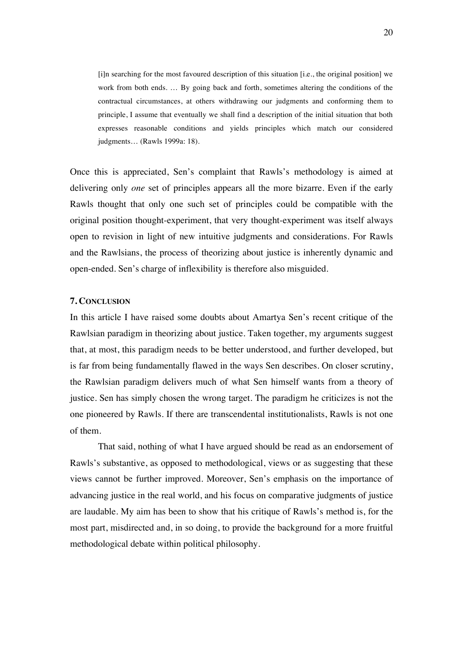[i]n searching for the most favoured description of this situation [i.e., the original position] we work from both ends. … By going back and forth, sometimes altering the conditions of the contractual circumstances, at others withdrawing our judgments and conforming them to principle, I assume that eventually we shall find a description of the initial situation that both expresses reasonable conditions and yields principles which match our considered judgments… (Rawls 1999a: 18).

Once this is appreciated, Sen's complaint that Rawls's methodology is aimed at delivering only *one* set of principles appears all the more bizarre. Even if the early Rawls thought that only one such set of principles could be compatible with the original position thought-experiment, that very thought-experiment was itself always open to revision in light of new intuitive judgments and considerations. For Rawls and the Rawlsians, the process of theorizing about justice is inherently dynamic and open-ended. Sen's charge of inflexibility is therefore also misguided.

### **7. CONCLUSION**

In this article I have raised some doubts about Amartya Sen's recent critique of the Rawlsian paradigm in theorizing about justice. Taken together, my arguments suggest that, at most, this paradigm needs to be better understood, and further developed, but is far from being fundamentally flawed in the ways Sen describes. On closer scrutiny, the Rawlsian paradigm delivers much of what Sen himself wants from a theory of justice. Sen has simply chosen the wrong target. The paradigm he criticizes is not the one pioneered by Rawls. If there are transcendental institutionalists, Rawls is not one of them.

That said, nothing of what I have argued should be read as an endorsement of Rawls's substantive, as opposed to methodological, views or as suggesting that these views cannot be further improved. Moreover, Sen's emphasis on the importance of advancing justice in the real world, and his focus on comparative judgments of justice are laudable. My aim has been to show that his critique of Rawls's method is, for the most part, misdirected and, in so doing, to provide the background for a more fruitful methodological debate within political philosophy.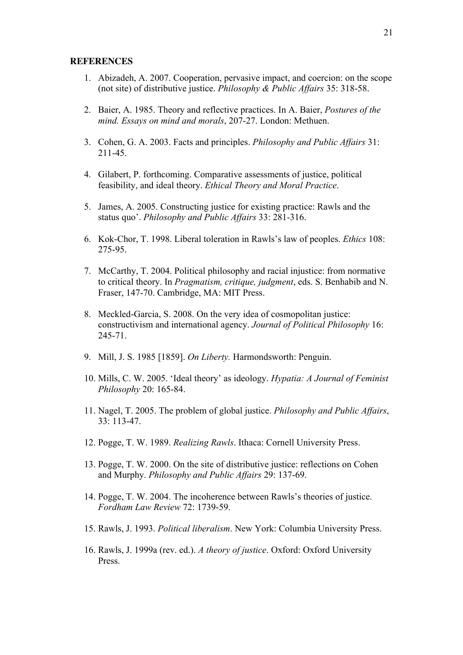#### **REFERENCES**

- 1. Abizadeh, A. 2007. Cooperation, pervasive impact, and coercion: on the scope (not site) of distributive justice. *Philosophy & Public Affairs* 35: 318-58.
- 2. Baier, A. 1985. Theory and reflective practices. In A. Baier, *Postures of the mind. Essays on mind and morals*, 207-27. London: Methuen.
- 3. Cohen, G. A. 2003. Facts and principles. *Philosophy and Public Affairs* 31: 211-45.
- 4. Gilabert, P. forthcoming. Comparative assessments of justice, political feasibility, and ideal theory. *Ethical Theory and Moral Practice*.
- 5. James, A. 2005. Constructing justice for existing practice: Rawls and the status quo'. *Philosophy and Public Affairs* 33: 281-316.
- 6. Kok-Chor, T. 1998. Liberal toleration in Rawls's law of peoples. *Ethics* 108: 275-95.
- 7. McCarthy, T. 2004. Political philosophy and racial injustice: from normative to critical theory. In *Pragmatism, critique, judgment*, eds. S. Benhabib and N. Fraser, 147-70. Cambridge, MA: MIT Press.
- 8. Meckled-Garcia, S. 2008. On the very idea of cosmopolitan justice: constructivism and international agency. *Journal of Political Philosophy* 16: 245-71.
- 9. Mill, J. S. 1985 [1859]. *On Liberty.* Harmondsworth: Penguin.
- 10. Mills, C. W. 2005. 'Ideal theory' as ideology. *Hypatia: A Journal of Feminist Philosophy* 20: 165-84.
- 11. Nagel, T. 2005. The problem of global justice. *Philosophy and Public Affairs*, 33: 113-47.
- 12. Pogge, T. W. 1989. *Realizing Rawls*. Ithaca: Cornell University Press.
- 13. Pogge, T. W. 2000. On the site of distributive justice: reflections on Cohen and Murphy. *Philosophy and Public Affairs* 29: 137-69.
- 14. Pogge, T. W. 2004. The incoherence between Rawls's theories of justice. *Fordham Law Review* 72: 1739-59.
- 15. Rawls, J. 1993. *Political liberalism*. New York: Columbia University Press.
- 16. Rawls, J. 1999a (rev. ed.). *A theory of justice*. Oxford: Oxford University Press.